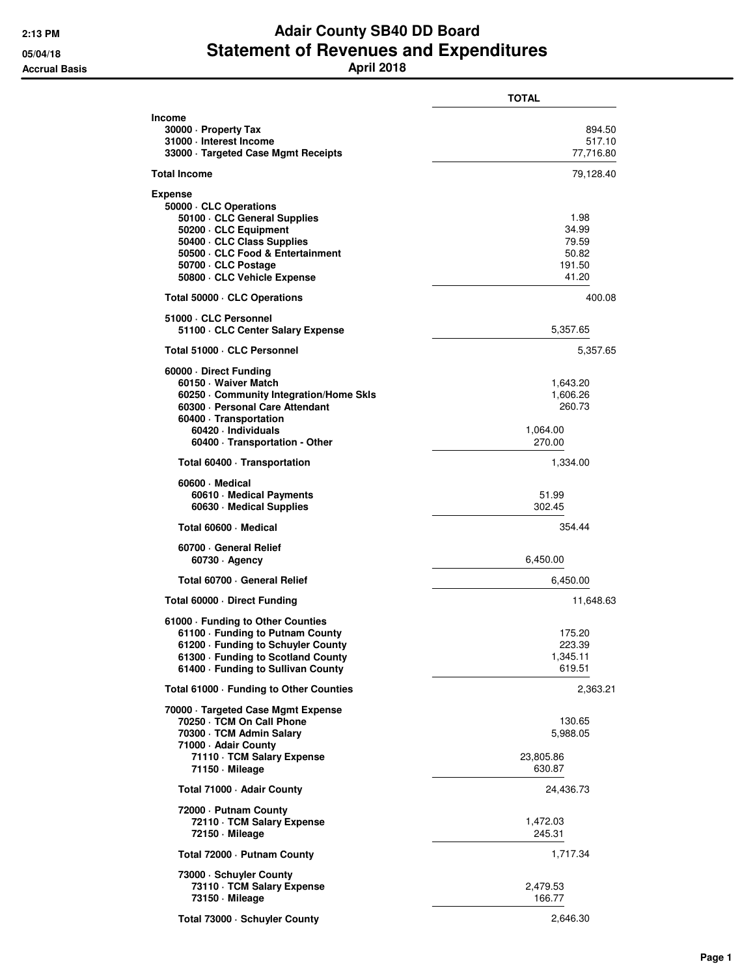## **2:13 PM Adair County SB40 DD Board** 05/04/18<br>**Accrual Basis Statement of Revenues and Expenditures**<br>**April 2018**

|                                                                                                                                                                                                                       | <b>TOTAL</b>                                         |
|-----------------------------------------------------------------------------------------------------------------------------------------------------------------------------------------------------------------------|------------------------------------------------------|
| Income<br>30000 - Property Tax<br>31000 - Interest Income<br>33000 Targeted Case Mgmt Receipts                                                                                                                        | 894.50<br>517.10<br>77,716.80                        |
| Total Income                                                                                                                                                                                                          | 79,128.40                                            |
| <b>Expense</b><br>50000 CLC Operations<br>50100 · CLC General Supplies<br>50200 · CLC Equipment<br>50400 · CLC Class Supplies<br>50500 · CLC Food & Entertainment<br>50700 · CLC Postage<br>50800 CLC Vehicle Expense | 1.98<br>34.99<br>79.59<br>50.82<br>191.50<br>41.20   |
| Total 50000 CLC Operations                                                                                                                                                                                            | 400.08                                               |
| 51000 CLC Personnel<br>51100 · CLC Center Salary Expense                                                                                                                                                              | 5,357.65                                             |
| Total 51000 · CLC Personnel                                                                                                                                                                                           | 5,357.65                                             |
| 60000 Direct Funding<br>60150 · Waiver Match<br>60250 Community Integration/Home Skls<br>60300 · Personal Care Attendant<br>60400 · Transportation<br>60420 · Individuals<br>60400 · Transportation - Other           | 1,643.20<br>1,606.26<br>260.73<br>1,064.00<br>270.00 |
| Total 60400 · Transportation                                                                                                                                                                                          | 1,334.00                                             |
| 60600 Medical<br>60610 Medical Payments<br>60630 Medical Supplies                                                                                                                                                     | 51.99<br>302.45                                      |
| Total 60600 - Medical                                                                                                                                                                                                 | 354.44                                               |
| 60700 General Relief<br>$60730 \cdot$ Agency                                                                                                                                                                          | 6,450.00                                             |
| Total 60700 · General Relief                                                                                                                                                                                          | 6,450.00                                             |
| Total 60000 Direct Funding                                                                                                                                                                                            | 11,648.63                                            |
| 61000 · Funding to Other Counties<br>61100 · Funding to Putnam County<br>61200 - Funding to Schuyler County<br>61300 · Funding to Scotland County<br>61400 · Funding to Sullivan County                               | 175.20<br>223.39<br>1,345.11<br>619.51               |
| Total 61000 - Funding to Other Counties                                                                                                                                                                               | 2,363.21                                             |
| 70000 · Targeted Case Mgmt Expense<br>70250 · TCM On Call Phone<br>70300 · TCM Admin Salary<br>71000 - Adair County<br>71110 · TCM Salary Expense<br>71150 - Mileage                                                  | 130.65<br>5,988.05<br>23,805.86<br>630.87            |
| Total 71000 - Adair County                                                                                                                                                                                            | 24,436.73                                            |
| 72000 - Putnam County<br>72110 · TCM Salary Expense<br>72150 Mileage                                                                                                                                                  | 1,472.03<br>245.31                                   |
| Total 72000 - Putnam County                                                                                                                                                                                           | 1,717.34                                             |
| 73000 · Schuyler County<br>73110 · TCM Salary Expense<br>73150 - Mileage                                                                                                                                              | 2,479.53<br>166.77                                   |
| Total 73000 · Schuyler County                                                                                                                                                                                         | 2,646.30                                             |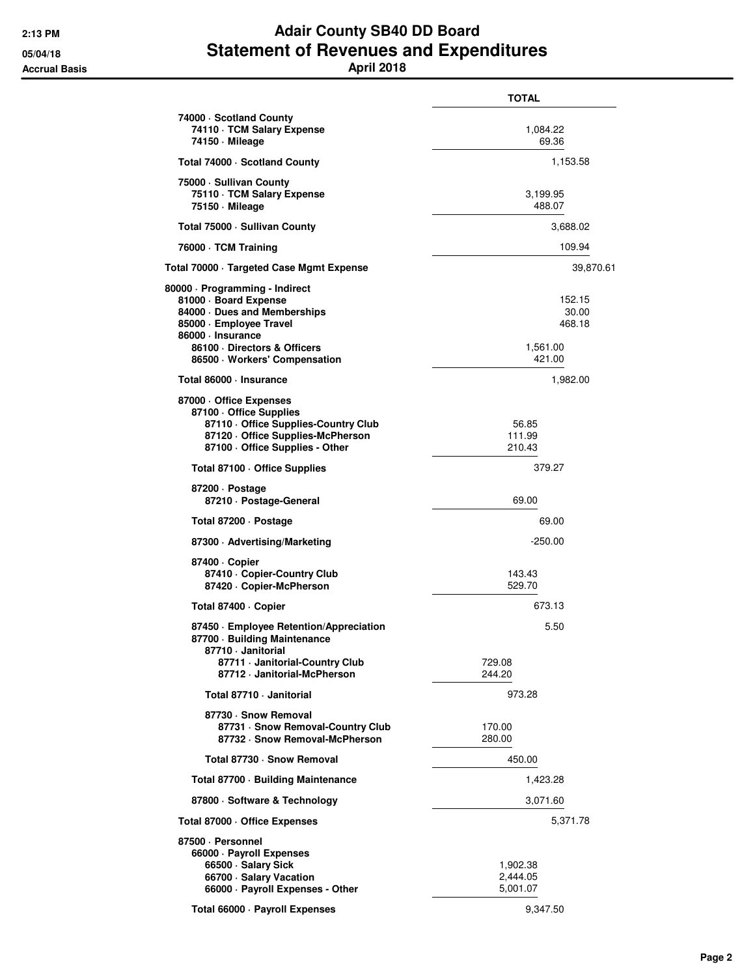## **2:13 PM Adair County SB40 DD Board 05/04/18 Statement of Revenues and Expenditures Accrual Basis April 2018**

|                                                                                                                                                                                                      | <b>TOTAL</b>                                    |
|------------------------------------------------------------------------------------------------------------------------------------------------------------------------------------------------------|-------------------------------------------------|
| 74000 · Scotland County<br>74110 · TCM Salary Expense<br>74150 - Mileage                                                                                                                             | 1,084.22<br>69.36                               |
| Total 74000 · Scotland County                                                                                                                                                                        | 1,153.58                                        |
| 75000 · Sullivan County<br>75110 · TCM Salary Expense<br>75150 - Mileage                                                                                                                             | 3,199.95<br>488.07                              |
| Total 75000 - Sullivan County                                                                                                                                                                        | 3,688.02                                        |
| 76000 · TCM Training                                                                                                                                                                                 | 109.94                                          |
| Total 70000 · Targeted Case Mgmt Expense                                                                                                                                                             | 39,870.61                                       |
| 80000 · Programming - Indirect<br>81000 · Board Expense<br>84000 Dues and Memberships<br>85000 · Employee Travel<br>86000 · Insurance<br>86100 Directors & Officers<br>86500 · Workers' Compensation | 152.15<br>30.00<br>468.18<br>1,561.00<br>421.00 |
| Total 86000 · Insurance                                                                                                                                                                              | 1,982.00                                        |
| 87000 Office Expenses<br>87100 Office Supplies<br>87110 Office Supplies-Country Club<br>87120 Office Supplies-McPherson<br>87100 - Office Supplies - Other                                           | 56.85<br>111.99<br>210.43                       |
| Total 87100 · Office Supplies                                                                                                                                                                        | 379.27                                          |
| 87200 Dostage<br>87210 · Postage-General                                                                                                                                                             | 69.00                                           |
| Total 87200 · Postage                                                                                                                                                                                | 69.00                                           |
| 87300 - Advertising/Marketing                                                                                                                                                                        | $-250.00$                                       |
| 87400 Copier<br>87410 - Copier-Country Club<br>87420 - Copier-McPherson                                                                                                                              | 143.43<br>529.70                                |
| Total 87400 · Copier                                                                                                                                                                                 | 673.13                                          |
| 87450 · Employee Retention/Appreciation<br>87700 Building Maintenance<br>87710 - Janitorial<br>87711 · Janitorial-Country Club                                                                       | 5.50<br>729.08                                  |
| 87712 · Janitorial-McPherson                                                                                                                                                                         | 244.20                                          |
| Total 87710 - Janitorial                                                                                                                                                                             | 973.28                                          |
| 87730 · Snow Removal<br>87731 · Snow Removal-Country Club<br>87732 · Snow Removal-McPherson                                                                                                          | 170.00<br>280.00                                |
| Total 87730 - Snow Removal                                                                                                                                                                           | 450.00                                          |
| Total 87700 · Building Maintenance                                                                                                                                                                   | 1,423.28                                        |
| 87800 · Software & Technology                                                                                                                                                                        | 3,071.60                                        |
| Total 87000 Office Expenses                                                                                                                                                                          | 5,371.78                                        |
| 87500 · Personnel<br>66000 · Payroll Expenses<br>66500 · Salary Sick<br>66700 · Salary Vacation<br>66000 · Payroll Expenses - Other                                                                  | 1,902.38<br>2,444.05<br>5,001.07                |
| Total 66000 · Payroll Expenses                                                                                                                                                                       | 9,347.50                                        |